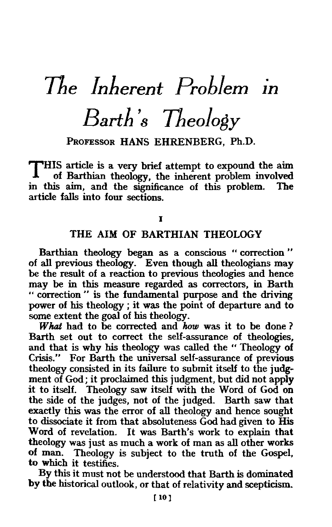# *The Inherent Problem*  1n *Barth's Theology*

PROFESSOR HANS EHRENBERG, Ph.D.

THIS article is a very brief attempt to expound the aim of Barthian theology, the inherent problem involved<br>is aim, and the significance of this problem. The in this aim, and the significance of this problem. article falls into four sections.

I

# THE AIM OF BARTHIAN THEOLOGY

Barthian theology began as a conscious « correction " of all previous theology. Even though all theologians may be the result of a reaction to previous theologies and hence may be in this measure regarded as correctors, in Barth " correction " is the fundamental purpose and the driving power of his theology ; it was the point of departure and to some extent the goal of his theology.

What had to be corrected and *how* was it to be done ? Barth set out to correct the self-assurance of theologies, and that is why his theology was called the "Theology of Crisis." For Barth the universal self-assurance of previous theology consisted in its failure to submit itself to the judgment of God; it proclaimed this judgment, but did not apply it to itself. Theology saw itself with the Word of God on the side of the judges, not of the judged. Barth saw that exactly this was the error of all theology and hence sought to dissociate it from that absoluteness God had given to His Word of revelation. It was Barth's work to explain that theology was just as much a work of man as all other works of man. Theology is subject to the truth of the Gospel, to which it testifies.

By this it must not be understood that Barth is dominated by the historical outlook, or that of relativity and scepticism.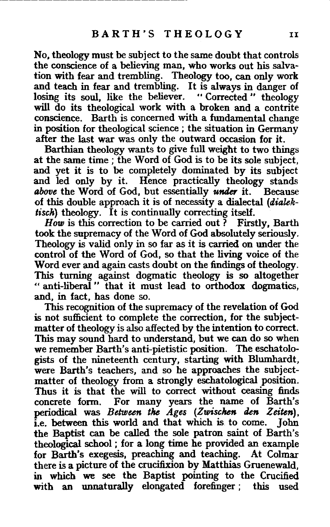No, theology must be subject to the same doubt that controls the conscience of a believing man, who works out his salvation with fear and trembling. Theology too, can only work and teach in fear and trembling. It is always in danger of losing its soul, like the believer. "Corrected" theology will do its theological work with a broken and a contrite conscience. Barth is concerned with a fundamental change in position for theological science ; the situation in Germany after the last war was only the outward occasion for it.

Barthian theology wants to give full weight to two things at the same time; the Word of God is to be its sole subject, and yet it is to be completely dominated by its subject and led only by it. Hence practically theology stands above the Word of God, but essentially under it. Because *above* the Word of God, but essentially *under* it. of this double approach it is of necessity a dialectal *(dialektisch*) theology. It is continually correcting itself.

*How* is this correction to be carried out? Firstly, Barth took the supremacy of the Word of God absolutely seriously. Theology is valid only in so far as it is carried on under the control of the Word of God, so that the living voice of the Word ever and again casts doubt on the findings of theology. This turning against dogmatic theology is so altogether " anti-liberal " that it must lead to orthodox dogmatics, and, in fact, has done so.

This recognition of the supremacy of the revelation of God is not sufficient to complete the correction, for the subjectmatter of theology is also affected by the intention to correct. This may sound hard to understand, but we can do so when we remember Barth's anti-pietistic position. The eschatologists of the nineteenth century, starting with Blumhardt, were Barth's teachers, and so he approaches the subjectmatter of theology from a strongly eschatological position. Thus it is that the will to correct without ceasing finds concrete form. For many years the name of Barth's periodical was *Between the Ages (Zwischen den Zeiten),*  i.e. between this world and that which is to come. John the Baptist can be called the sole patron saint of Barth's theological school ; for a long time he provided an example for Barth's exegesis, preaching and teaching. At Colmar there is a picture of the crucifixion by Matthias Gruenewald, in which we see the Baptist pointing to the Crucified with an unnaturally elongated forefinger ; this used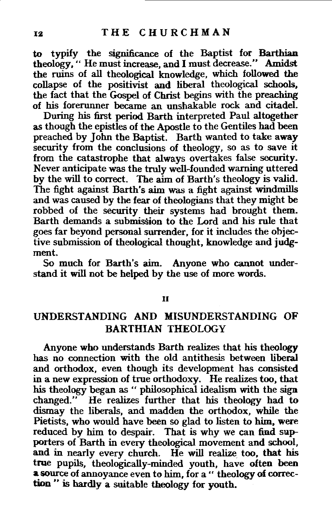to typify the significance of the Baptist for Barthian theology," He must increase, and I must decrease." Amidst the ruins of all theological knowledge, which followed the collapse of the positivist and liberal theological schools, the fact that the Gospel of Christ begins with the preaching of his forerunner became an unshakable rock and citadel.

During his first period Barth interpreted Paul altogether as though the epistles of the Apostle to the Gentiles had been preached by John the Baptist. Barth wanted to take away security from the conclusions of theology, so as to save it from the catastrophe that always overtakes false security. Never anticipate was the truly well-founded warning uttered by the will to correct. The aim of Barth's theology is valid. The fight against Barth's aim was a fight against windmills and was caused by the fear of theologians that they might be robbed of the security their systems had brought them. Barth demands a submission to the Lord and his rule that goes far beyond personal surrender, for it includes the objective submission of theological thought, knowledge and judgment.

So much for Barth's aim. Anyone who cannot understand it will not be helped by the use of more words.

#### II

## UNDERSTANDING AND MISUNDERSTANDING OF BARTHIAN THEOLOGY

Anyone who understands Barth realizes that his theology has no connection with the old antithesis between liberal and orthodox, even though its development has consisted in a new expression of true orthodoxy. He realizes too, that his theology began as " philosophical idealism with the sign changed." He realizes further that his theology had to dismay the liberals, and madden the orthodox, while the Pietists, who would have been so glad to listen to him, were reduced by him to despair. That is why we can find supporters of Barth in every theological movement and school, and in nearly every church. He will realize too, that his true pupils, theologically-minded youth, have often been a source of annoyance even to him, for a " theology of correction " is hardly a suitable theology for youth.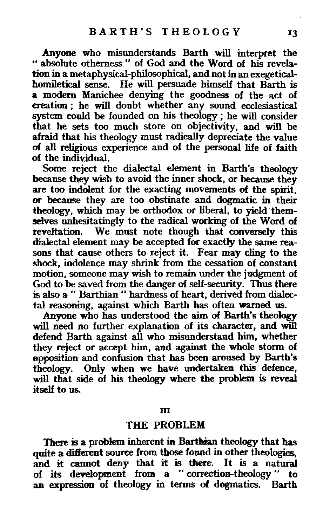Anyone who misunderstands Barth will interpret the •• absolute otherness" of God and the Word of his revelation in a metaphysical-philosophical, and not in an exegeticalhomiletical sense. He will persuade himself that Barth is a modern Manichee denying the goodness of the act of creation ; he will doubt whether any sound ecclesiastical system could be founded on his theology ; he will consider that he sets too much store on objectivity, and will be afraid that his theology must radically depreciate the value of all religious experience and of the personal life of faith of the individual.

Some reject the dialectal element in Barth's theology because they wish to avoid the inner shock, or because they are too indolent for the exacting movements of the spirit, or because they are too obstinate and dogmatic in their theology, which may be orthodox or liberal, to yield themselves unhesitatingly to the radical working of the Word of reveltation. We must note though that conversely this dialectal element may be accepted for exactly the same reasons that cause others to reject it. Fear may cling to the shock, indolence may shrink from the cessation of constant motion, someone may wish to remain under the judgment of God to be saved from the danger of self-security. Thus there is also a " Barthian " hardness of heart, derived from dialectal reasoning, against which Barth has often warned us.

Anyone who has understood the aim of Barth's theology will need no further explanation of its character, and will defend Barth against all who misunderstand him, whether they reject or accept him, and against the whole storm of apposition and confusion that has been aroased by Barth's theology. Only when we have undertaken this defence, will that side of his theology where the problem is reveal itself to us.

JD

## THE PROBLEM

There is a problem inherent in Barthian theology that has quite a different source from those found in other theologies. and it cannot deny that it is there. It is a natural of its development from a "correction-theology" to an expression of theology in terms of dogmatics. Barth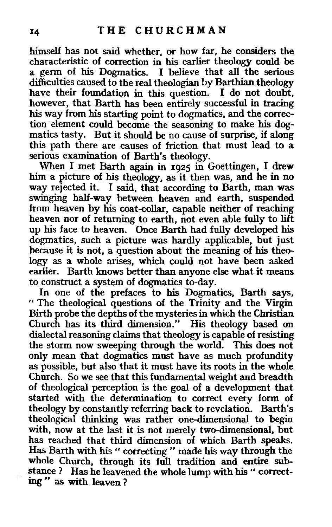himself has not said whether, or how far, he considers the characteristic of correction in his earlier theology could be a germ of his Dogmatics. I believe that all the serious difficulties caused to the real theologian by Barthian theology have their foundation in this question. I do not doubt, however, that Barth has been entirely successful in tracing his way from his starting point to dogmatics, and the correction element could become the seasoning to make his dogmatics tasty. But it should be no cause of surprise, if along this path there are causes of friction that must lead to a serious examination of Barth's theology.

When I met Barth again in 1925 in Goettingen, I drew him a picture of his theology, as it then was, and he in no way rejected it. I said, that according to Barth, man was swinging half-way between heaven and earth, suspended from heaven by his coat-collar, capable neither of reaching heaven nor of returning to earth, not even able fully to lift up his face to heaven. Once Barth had fully developed his dogmatics, such a picture was hardly applicable, but just because it is not, a question about the meaning of his theology as a whole arises, which could not have been asked earlier. Barth knows better than anyone else what it means to construct a system of dogmatics to-day.

In one of the prefaces to his Dogmatics, Barth says, " The theological questions of the Trinity and the Virgin Birth probe the depths of the mysteries in which the Christian Church has its third dimension." His theology based on dialectal reasoning claims that theology is capable of resisting the storm now sweeping through the world. This does not only mean that dogmatics must have as much profundity as possible, but also that it must have its roots in the whole Church. So we see that this fundamental weight and breadth of theological perception is the goal of a development that started with the determination to correct every form of theology by constantly referring back to revelation. Barth's theological thinking was rather one-dimensional to begin with, now at the last it is not merely two-dimensional, but has reached that third dimension of which Barth speaks. Has Barth with his " correcting " made his way through the whole Church, through its full tradition and entire substance ? Has he leavened the whole lump with his " correcting" as with leaven?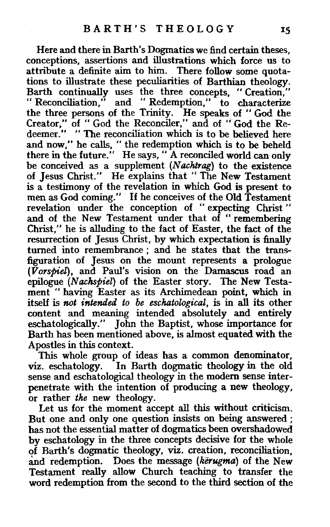Here and there in Barth's Dogmatics we find certain theses, conceptions, assertions and illustrations which force us to attribute a definite aim to him. There follow some quotations to illustrate these peculiarities of Barthian theology. Barth continually uses the three concepts, "Creation," "Reconciliation," and "Redemption," to characterize the three persons of the Trinity. He speaks of "God the Creator," of "God the Reconciler," and of "God the Redeemer." "The reconciliation which is to be believed here and now," he calls, "the redemption which is to be beheld there in the future." He says, " A reconciled world can only be conceived as a supplement (N *achtrag)* to the existence of Jesus Christ." He explains that " The New Testament is a testimony of the revelation in which God is present to men as God coming." If he conceives of the Old Testament revelation under the conception of " expecting Christ " and of the New Testament under that of "remembering Christ," he is alluding to the fact of Easter, the fact of the resurrection of Jesus Christ, by which expectation is finally turned into remembrance ; and he states that the transfiguration of Jesus on the mount represents a prologue *(Vorspiel),* and Paul's vision on the Damascus road an epilogue *(Nachspiel)* of the Easter story. The New Testament "having Easter as its Archimedean point, which in itself is *not intended to be eschatological,* is in all its other content and meaning intended absolutely and entirely eschatologically." John the Baptist, whose importance for Barth has been mentioned above, is almost equated with the Apostles in this context.

This whole group of ideas has a common denominator, viz. eschatology. In Barth dogmatic theology in the old sense and eschatological theology in the modem sense interpenetrate with the intention of producing a new theology, or rather *the* new theology.

Let us for the moment accept all this without criticism. But one and only one question insists on being answered ; has not the essential matter of dogmatics been overshadowed by eschatology in the three concepts decisive for the whole of Barth's dogmatic theology, viz. creation, reconciliation, and redemption. Does the message (kerugma) of the New Testament really allow Church teaching to transfer the word redemption from the second to the third section of the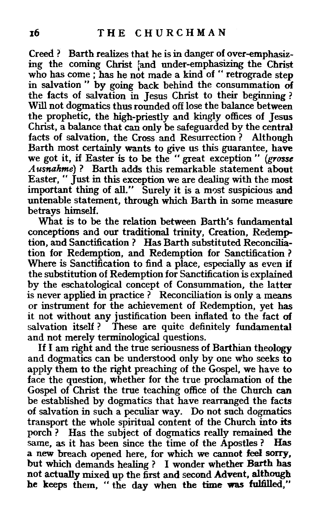Creed ? Barth realizes that he is in danger of over-emphasizing the coming Christ and under-emphasizing the Christ who has come ; has he not made a kind of " retrograde step in salvation " by going back behind the consummation of the facts of salvation in Jesus Christ to their beginning ? Will not dogmatics thus rounded off lose the balance between the prophetic, the high-priestly and kingly offices of Jesus Christ, a balance that can only be safeguarded by the central facts of salvation, the Cross and Resurrection ? Although Barth most certainly wants to give us this guarantee, have we got it, if Easter is to be the " great exception " *(grosse A usnakme)* ? Barth adds this remarkable statement about Easter," Just in this exception we are dealing with the most important thing of all." Surely it is a most suspicious and untenable statement, through which Barth in some measure betrays himself.

What is to be the relation between Barth's fundamental conceptions and our traditional trinity, Creation, Redemption, and Sanctification ? Has Barth substituted Reconciliation for Redemption, and Redemption for Sanctification ? Where is Sanctification to find a place, especially as even if the substitution of Redemption for Sanctification is explained by the eschatological concept of Consummation, the latter is never applied in practice ? Reconciliation is only a means or instrument for the achievement of Redemption, yet has it not without any justification been inflated to the fact of salvation itself? These are quite definitely fundamental and not merely terminological questions.

If I am right and the true seriousness of Barthian theology and dogmatics can be understood only by one who seeks to apply them to the right preaching of the Gospel, we have to face the question, whether for the true proclamation of the Gospel of Christ the true teaching office of the Church can be established by dogmatics that have rearranged the facts of salvation in such a peculiar way. Do not such dogmatics transport the whole spiritual content of the Church into its porch? Has the subject of dogmatics really remained the same, as it has been since the time of the Apostles ? Has a new breach opened here, for which we cannot feel sorry, but which demands healing ? I wonder whether Barth has not actually mixed up the first and second Advent, although he keeps them, "the day when the time was fulfilled,"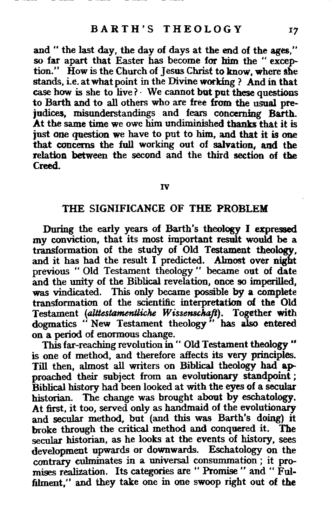and " the last day, the day of days at the end of the ages." so far apart that Easter has become for bim the " exception." How is the Church of Jesus Christ to know, where she stands, i.e. at what point in the Divine working ? And in that case how is she to live?· We cannot but put these questions to Barth and to all others who are free from the usual prejudices, misunderstandings and fears concerning Barth. At the same time we owe him undiminished thanks that it is just one question we have to put to him, and that it is one that concerns the full working out of salvation, and the relation between the second and the third section of the Creed.

#### IV

# THE SIGNIFICANCE OF THE PROBLEM

During the early years of Barth's theology I expressed my conviction, that its most important result would be a transformation of the study of Old Testament theology, and it has had the result I predicted. Almost over night previous "Old Testament theology" became out of date and the unity of the Biblical revelation, once so imperilled, was vindicated. This only became possible by a complete transformation of the scientific interpretation of the Old Testament *(alttestamentliche Wissenschaft).* Together with dogmatics "New Testament theology" has also entered on a period of enormous change.

This far-reaching revolution in " Old Testament theology " is one of method, and therefore affects its very principles. Till then, almost all writers on Biblical theology had approached their subject from an evolutionary standpoint ; Biblical history had been looked at with the eyes of a secular historian. The change was brought about by eschatology. At first, it too, served only as handmaid of the evolutionary and secular method, but (and this was Barth's doing) it broke through the critical method and conquered it. The secular historian, as he looks at the events of history, sees development upwards or downwards. Eschatology on the contrary culminates in a universal consummation; it promises realization. Its categories are " Promise " and " Fulfilment," and they take one in one swoop right out of the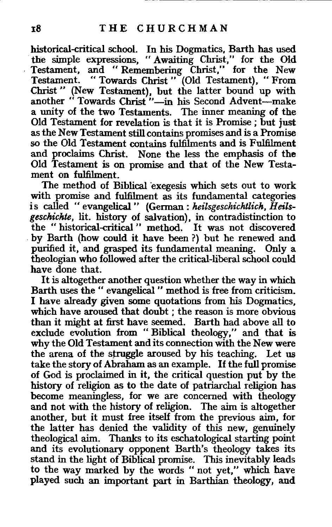historical-critical school. In his Dogmatics, Barth has used the simple expressions, "Awaiting Christ," for the Old Testament, and "Remembering Christ," for the New Testament. " Towards Christ " (Old Testament), " From Christ" (New Testament), but the latter bound up with another " Towards Christ"-in his Second Advent-make a unity of the two Testaments. The inner meaning of the Old Testament for revelation is that it is Promise; but just as the New Testament still contains promises and is a Promise so the Old Testament contains fulfilments and is Fulfilment and proclaims Christ. None the less the emphasis of the Old Testament is on promise and that of the New Testament on fulfilment.

The method of Biblical exegesis which sets out to work with promise and fulfilment as its fundamental categories is called "evangelical" (German: *heilsgeschichtlich, Heilsgeschichte,* lit. history of salvation), in contradistinction to the " historical-critical " method. It was not discovered . by Barth (how could it have been ?) but he renewed and purified it, and grasped its fundamental meaning. Only a theologian who followed after the critical-liberal school could have done that.

It is altogether another question whether the way in which Barth uses the" evangelical" method is free from criticism. I have already given some quotations from his Dogmatics, which have aroused that doubt ; the reason is more obvious than it might at first have seemed. Barth had above all to exclude evolution from "Biblical theology," and that is why the Old Testament and its connection with the New were the arena of the struggle aroused by his teaching. Let us take the story of Abraham as an example. If the full promise of God is proclaimed in it, the critical question put by the history of religion as to the date of patriarchal religion has become meaningless, for we are concerned with theology and not with the history of religion. The aim is altogether another, but it must free itself from the previous aim, for the latter has denied the validity of this new, genuinely theological aim. Thanks to its eschatological starting point and its evolutionary opponent Barth's theology takes its stand in the light of Biblical promise. This inevitably leads to the way marked by the words "not yet," which have played such an important part in Barthian theology, and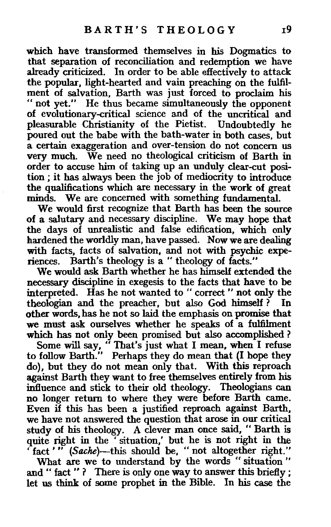which have transformed themselves in his Dogmatics to that separation of reconciliation and redemption we have already criticized. In order to be able effectively to attack the popular, light-hearted and vain preaching on the fulfilment of salvation, Barth was just forced to proclaim his " not yet." He thus became simultaneously the opponent of evolutionary-critical science and of the uncritical and pleasurable Christianity of the Pietist. Undoubtedly he poured out the babe with the bath-water in both cases, but a certain exaggeration and over-tension do not concern us very much. We need no theological criticism of Barth in order to accuse him of taking up an unduly clear-cut position ; it has always been the job of mediocrity to introduce the qualifications which are necessary in the work of great minds. We are concerned with something fundamental.

We would first recognize that Barth has been the source of a salutary and necessary discipline. We may hope that the days of unrealistic and false edification, which only hardened the worldly man, have passed. Now we are dealing with facts, facts of salvation, and not with psychic experiences. Barth's theology is a" theology of facts."

We would ask Barth whether he has himself extended the necessary discipline in exegesis to the facts that have to be interpreted. Has he not wanted to "correct" not only the theologian and the preacher, but also God himself? In other words, has he not so laid the emphasis on promise that we must ask ourselves whether he speaks of a fulfilment which has not only been promised but also accomplished ?

Some will say, "That's just what I mean, when I refuse to follow Barth." Perhaps they do mean that (I hope they do), but they do not mean only that. With this reproach against Barth they want to free themselves entirely from his influence and stick to their old theology. Theologians can no longer return to where they were before Barth came. Even if this has been a justified reproach against Barth, we have not answered the question that arose in our critical study of his theology. A clever man once said, "Barth is quite right in the 'situation,' but he is not right in the ' fact '" (Sache)-this should be, " not altogether right."

What are we to understand by the words " situation " and " fact " ? There is only one way to answer this briefly ; let us think of some prophet in the Bible. In his case the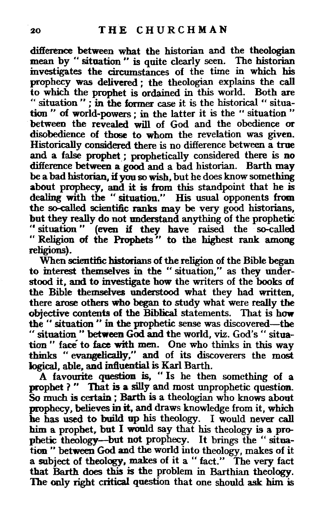difference between what the historian and the theologian mean by " situation " is quite clearly seen. The historian investigates the circumstances of the time in which his prophecy was delivered ; the theologian explains the call to which the prophet is ordained in this world. Both are '' situation " ; in the former case it is the historical « situation " of world·powers ; in the latter it is the " situation " between the revealed will of God and the obedience or disobedience of those to whom the revelation was given. Historically considered there is no difference between a true and a false prophet ; prophetically considered there is no difference between a good and a bad historian. Barth may be a bad historian, if you so wish, but he does know something about prophecy, and it is from this standpoint that he is dealing with the "situation." His usual opponents from the so-called scientific ranks may be very good historians, but they really do not understand anything of the prophetic •• situation " (even if they have raised the so-called " Religion of the Prophets" to the highest rank among religions).

When scientific historians of the religion of the Bible began to interest themselves in the " situation," as they understood it, and to investigate how the writers of the books of the Bible themselves understood what they had written, there arose others who began to study what were really the objective contents of the Biblical statements. That is how the " situation " in the prophetic sense was discovered-the " situation " between God and the world, viz. God's " situation " face to face with men. One who thinks in this way thinks "evangelically," and of its discoverers the most logical, able, and inftuential is Karl Barth.

A favomite question is, "Is he then something of a prophet ? " That is a silly and most unprophetic question. So much is certain ; Barth is a theologian who knows about prophecy, believes in it, and draws knowledge from it, which he has used to build up his theology. I would never call him a prophet, but I would say that his theology is a prophetic theology-but not prophecy. It brings the "situation " between God and the world into theology, makes of it a subject of theology, makes of it a " fact." The very fact tbat Barth does this is the problem in Barthian theology. The only right critical question that one should ask him is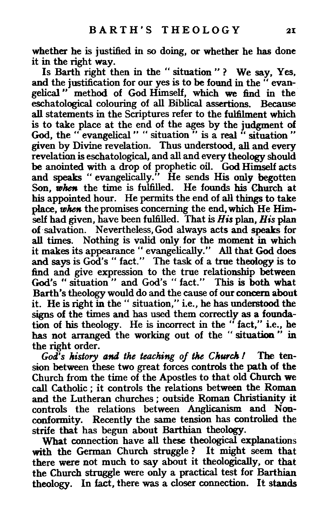whether he is justified in so doing, or whether he has done it in the right way.

Is Barth right then in the " situation "? We say, Yes, and the justification for our yes is to be found in the "evangelical " method of God Himself, which we find in the eschatological colouring of all Biblical assertions. Because all statements in the Scriptures refer to the fulfilment which is to take place at the end of the ages by the judgment of God, the " evangelical " " situation " is a real " situation " given by Divine revelation. Thus understood, all and every revelation is eschatological, and all and every theology should be anointed with a drop of prophetic oil. God Himself acts and speaks "evangelically." He sends His only begotten Son, when the time is fulfilled. He founds his Church at his appointed hour. He permits the end of all things to take place, when the promises concerning the end, which He Himself had given, have been fulftlled. That is *His* plan, *His* plan of salvation. Nevertheless, God always acts and speaks for all times. Nothing is valid only for the moment in which it makes its appearance" evangelically." All that God does and says is God's " fact." The task of a true theology is to find and give expression to the true relationship between God's "situation" and God's "fact." This is both what Barth's theology would do and the cause of our concern about it. He is right in the" situation," i.e., he has understood the signs of the times and has used them correctly as a foundation of his theology. He is incorrect in the "fact," i.e., he has not arranged the working out of the "situation" in the right order.

*God's history and the teaching of the Church!* The tension between these two great forces controls the path of the Church from the time of the Apostles to that old Church we call Catholic ; it controls the relations between the Roman and the Lutheran churches ; outside Roman Christianity it controls the relations between Anglicanism and Nonconformity. Recently the same tension has controlled the strife that has begun about Barthian theology.

What connection have all these theological explanations with the German Church struggle? It might seem that there were not much to say about it theologically, or that the Church struggle were only a practical test for Barthian theology. In fact, there was a closer connection. It stands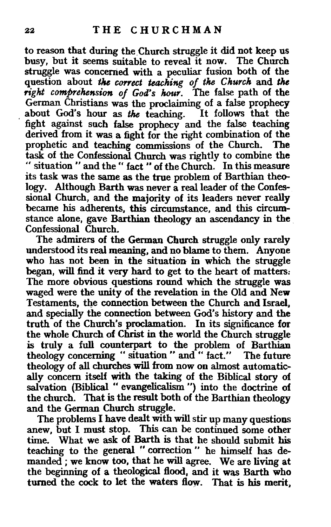to reason that during the.Church struggle it did not keep us busy, but it seems suitable to reveal it now. The Church struggle was concerned with a peculiar fusion both of the question about the correct teaching of the Church and the right comprehension of God's hour. The false path of the German Christians was the proclaiming of a false prophecy about God's hour as the teaching. It follows that the fight agamst such false prophecy and the false teaching derived from it was a fight for the right combination of the prophetic and teaching commissions of the Church. The task of the Confessional Church was rightly to combine the " situation " and the " fact " of the Church. In this measure its task was the same as the true problem of Barthian theology. Although Barth was never a real leader of the Confessional Church, and the majority of its leaders never really became his adherents, this circumstance, and this circumstance alone, gave Barthian theology an ascendancy in the . Confessional Church.

The admirers of the German Church struggle only rarely understood its real meaning, and no blame to them. Anyone who has not been in the situation in which the struggle began, will find it very hard to get to the heart of matters: The more obvious questions round which the struggle was waged were the unity of the revelation in the Old and New Testaments, the connection between the Church and Israel, and specially the connection between God's history and the truth of the Church's proclamation. In its significance for the whole Church of Christ in the world the Church struggle is truly a full counterpart to the problem of Barthian theology concerning "situation" and" fact." The future theology of all churches will from now on almost automatically concern itself with the taking of the Biblical story of salvation (Biblical " evangelicalism ") into the doctrine of the church. That is the result both of the Barthian theology and the German Church struggle.

The problems I have dealt with will stir up many questions anew, but I must stop. This can be continued some other time. What we ask of Barth is that he should submit his teaching to the general " correction " he himself has demanded ; we know too, that he will agree. We are living at the beginning of a theological flood, and it was Barth who turned the cock to let the waters flow. That is his merit,